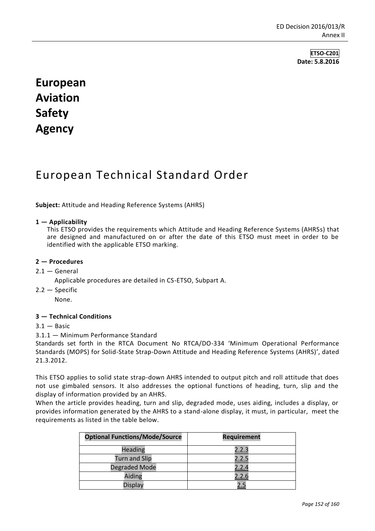**ETSO-C201 Date: 5.8.2016**

# **European Aviation Safety Agency**

## European Technical Standard Order

**Subject:** Attitude and Heading Reference Systems (AHRS)

#### **1 — Applicability**

This ETSO provides the requirements which Attitude and Heading Reference Systems (AHRSs) that are designed and manufactured on or after the date of this ETSO must meet in order to be identified with the applicable ETSO marking.

#### **2 — Procedures**

#### $2.1 -$  General

Applicable procedures are detailed in CS-ETSO, Subpart A.

2.2 — Specific

None.

### **3 — Technical Conditions**

#### $3.1 -$ Basic

#### 3.1.1 — Minimum Performance Standard

Standards set forth in the RTCA Document No RTCA/DO-334 'Minimum Operational Performance Standards (MOPS) for Solid-State Strap-Down Attitude and Heading Reference Systems (AHRS)', dated 21.3.2012.

This ETSO applies to solid state strap-down AHRS intended to output pitch and roll attitude that does not use gimbaled sensors. It also addresses the optional functions of heading, turn, slip and the display of information provided by an AHRS.

When the article provides heading, turn and slip, degraded mode, uses aiding, includes a display, or provides information generated by the AHRS to a stand-alone display, it must, in particular, meet the requirements as listed in the table below.

| <b>Optional Functions/Mode/Source</b> | <b>Requirement</b> |
|---------------------------------------|--------------------|
| Heading                               | 2.2.3              |
| <b>Turn and Slip</b>                  | 2.2.5              |
| Degraded Mode                         | 2.2.4              |
| Aiding                                | 2.2.6              |
| <b>Display</b>                        |                    |